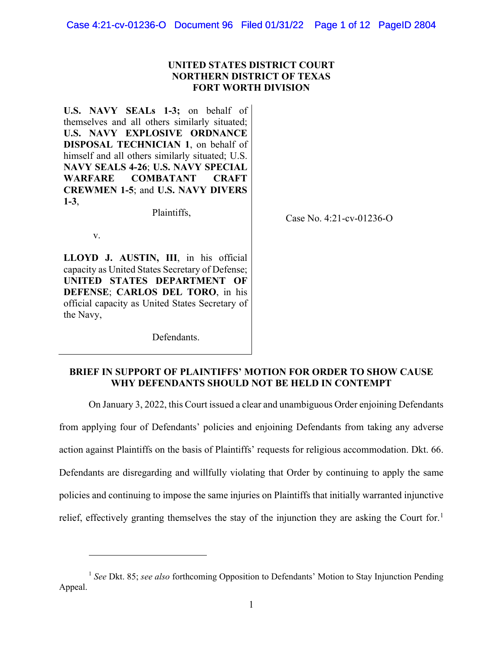# **UNITED STATES DISTRICT COURT NORTHERN DISTRICT OF TEXAS FORT WORTH DIVISION**

**U.S. NAVY SEALs 1-3;** on behalf of themselves and all others similarly situated; **U.S. NAVY EXPLOSIVE ORDNANCE DISPOSAL TECHNICIAN 1**, on behalf of himself and all others similarly situated; U.S. **NAVY SEALS 4-26**; **U.S. NAVY SPECIAL WARFARE COMBATANT CRAFT CREWMEN 1-5**; and **U.S. NAVY DIVERS 1-3**,

Plaintiffs,

Case No. 4:21-cv-01236-O

v.

**LLOYD J. AUSTIN, III**, in his official capacity as United States Secretary of Defense; **UNITED STATES DEPARTMENT OF DEFENSE**; **CARLOS DEL TORO**, in his official capacity as United States Secretary of the Navy,

Defendants.

# **BRIEF IN SUPPORT OF PLAINTIFFS' MOTION FOR ORDER TO SHOW CAUSE WHY DEFENDANTS SHOULD NOT BE HELD IN CONTEMPT**

On January 3, 2022, this Court issued a clear and unambiguous Order enjoining Defendants

from applying four of Defendants' policies and enjoining Defendants from taking any adverse action against Plaintiffs on the basis of Plaintiffs' requests for religious accommodation. Dkt. 66. Defendants are disregarding and willfully violating that Order by continuing to apply the same policies and continuing to impose the same injuries on Plaintiffs that initially warranted injunctive relief, effectively granting themselves the stay of the injunction they are asking the Court for.<sup>[1](#page-0-0)</sup>

<span id="page-0-0"></span><sup>&</sup>lt;sup>1</sup> See Dkt. 85; *see also* forthcoming Opposition to Defendants' Motion to Stay Injunction Pending Appeal.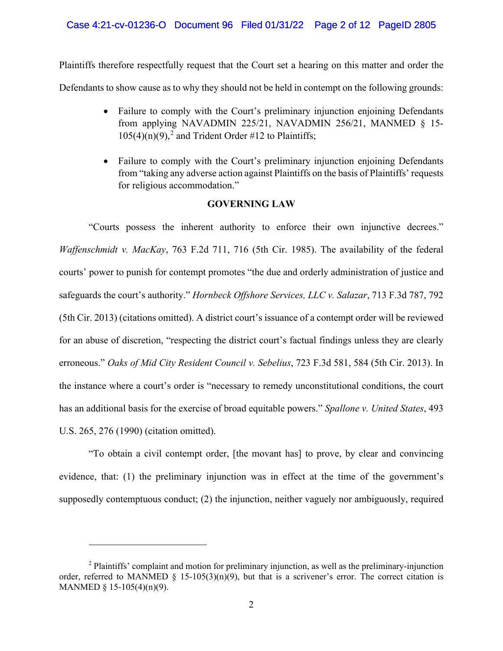# Case 4:21-cv-01236-O Document 96 Filed 01/31/22 Page 2 of 12 PageID 2805

Plaintiffs therefore respectfully request that the Court set a hearing on this matter and order the Defendants to show cause as to why they should not be held in contempt on the following grounds:

- Failure to comply with the Court's preliminary injunction enjoining Defendants from applying NAVADMIN 225/21, NAVADMIN 256/21, MANMED § 15-  $105(4)(n)(9)$ ,<sup>[2](#page-1-0)</sup> and Trident Order #12 to Plaintiffs;
- Failure to comply with the Court's preliminary injunction enjoining Defendants from "taking any adverse action against Plaintiffs on the basis of Plaintiffs' requests for religious accommodation."

# **GOVERNING LAW**

"Courts possess the inherent authority to enforce their own injunctive decrees." *Waffenschmidt v. MacKay*, 763 F.2d 711, 716 (5th Cir. 1985). The availability of the federal courts' power to punish for contempt promotes "the due and orderly administration of justice and safeguards the court's authority." *Hornbeck Offshore Services, LLC v. Salazar*, 713 F.3d 787, 792 (5th Cir. 2013) (citations omitted). A district court's issuance of a contempt order will be reviewed for an abuse of discretion, "respecting the district court's factual findings unless they are clearly erroneous." *Oaks of Mid City Resident Council v. Sebelius*, 723 F.3d 581, 584 (5th Cir. 2013). In the instance where a court's order is "necessary to remedy unconstitutional conditions, the court has an additional basis for the exercise of broad equitable powers." *Spallone v. United States*, 493 U.S. 265, 276 (1990) (citation omitted).

"To obtain a civil contempt order, [the movant has] to prove, by clear and convincing evidence, that: (1) the preliminary injunction was in effect at the time of the government's supposedly contemptuous conduct; (2) the injunction, neither vaguely nor ambiguously, required

<span id="page-1-0"></span><sup>&</sup>lt;sup>2</sup> Plaintiffs' complaint and motion for preliminary injunction, as well as the preliminary-injunction order, referred to MANMED § 15-105(3)(n)(9), but that is a scrivener's error. The correct citation is MANMED § 15-105(4)(n)(9).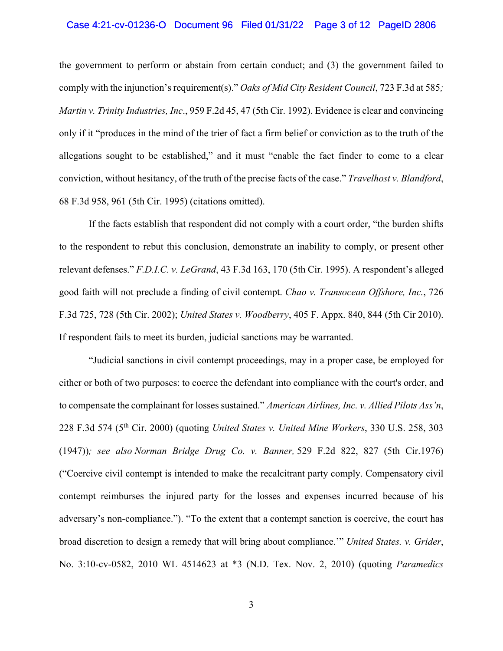### Case 4:21-cv-01236-O Document 96 Filed 01/31/22 Page 3 of 12 PageID 2806

the government to perform or abstain from certain conduct; and (3) the government failed to comply with the injunction's requirement(s)." *Oaks of Mid City Resident Council*, 723 F.3d at 585*; Martin v. Trinity Industries, Inc*., 959 F.2d 45, 47 (5th Cir. 1992). Evidence is clear and convincing only if it "produces in the mind of the trier of fact a firm belief or conviction as to the truth of the allegations sought to be established," and it must "enable the fact finder to come to a clear conviction, without hesitancy, of the truth of the precise facts of the case." *Travelhost v. Blandford*, 68 F.3d 958, 961 (5th Cir. 1995) (citations omitted).

If the facts establish that respondent did not comply with a court order, "the burden shifts to the respondent to rebut this conclusion, demonstrate an inability to comply, or present other relevant defenses." *F.D.I.C. v. LeGrand*, 43 F.3d 163, 170 (5th Cir. 1995). A respondent's alleged good faith will not preclude a finding of civil contempt. *Chao v. Transocean Offshore, Inc.*, 726 F.3d 725, 728 (5th Cir. 2002); *United States v. Woodberry*, 405 F. Appx. 840, 844 (5th Cir 2010). If respondent fails to meet its burden, judicial sanctions may be warranted.

"Judicial sanctions in civil contempt proceedings, may in a proper case, be employed for either or both of two purposes: to coerce the defendant into compliance with the court's order, and to compensate the complainant for losses sustained." *American Airlines, Inc. v. Allied Pilots Ass'n*, 228 F.3d 574 (5th Cir. 2000) (quoting *United States v. United Mine Workers*, 330 U.S. 258, 303 (1947))*; see also Norman Bridge Drug Co. v. Banner,* 529 F.2d 822, 827 (5th Cir.1976) ("Coercive civil contempt is intended to make the recalcitrant party comply. Compensatory civil contempt reimburses the injured party for the losses and expenses incurred because of his adversary's non-compliance."). "To the extent that a contempt sanction is coercive, the court has broad discretion to design a remedy that will bring about compliance.'" *United States. v. Grider*, No. 3:10-cv-0582, 2010 WL 4514623 at \*3 (N.D. Tex. Nov. 2, 2010) (quoting *Paramedics*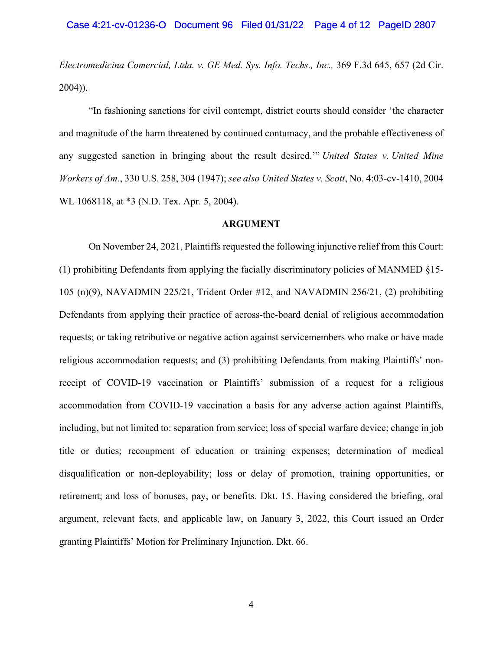*Electromedicina Comercial, Ltda. v. GE Med. Sys. Info. Techs., Inc.,* 369 F.3d 645, 657 (2d Cir. 2004)).

"In fashioning sanctions for civil contempt, district courts should consider 'the character and magnitude of the harm threatened by continued contumacy, and the probable effectiveness of any suggested sanction in bringing about the result desired.'" *United States v. United Mine Workers of Am.*, 330 U.S. 258, 304 (1947); *see also United States v. Scott*, No. 4:03-cv-1410, 2004 WL 1068118, at \*3 (N.D. Tex. Apr. 5, 2004).

### **ARGUMENT**

On November 24, 2021, Plaintiffs requested the following injunctive relief from this Court: (1) prohibiting Defendants from applying the facially discriminatory policies of MANMED §15- 105 (n)(9), NAVADMIN 225/21, Trident Order #12, and NAVADMIN 256/21, (2) prohibiting Defendants from applying their practice of across-the-board denial of religious accommodation requests; or taking retributive or negative action against servicemembers who make or have made religious accommodation requests; and (3) prohibiting Defendants from making Plaintiffs' nonreceipt of COVID-19 vaccination or Plaintiffs' submission of a request for a religious accommodation from COVID-19 vaccination a basis for any adverse action against Plaintiffs, including, but not limited to: separation from service; loss of special warfare device; change in job title or duties; recoupment of education or training expenses; determination of medical disqualification or non-deployability; loss or delay of promotion, training opportunities, or retirement; and loss of bonuses, pay, or benefits. Dkt. 15. Having considered the briefing, oral argument, relevant facts, and applicable law, on January 3, 2022, this Court issued an Order granting Plaintiffs' Motion for Preliminary Injunction. Dkt. 66.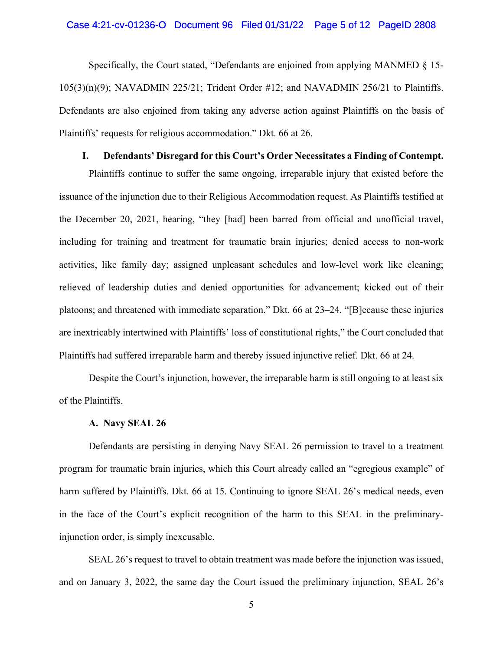### Case 4:21-cv-01236-O Document 96 Filed 01/31/22 Page 5 of 12 PageID 2808

Specifically, the Court stated, "Defendants are enjoined from applying MANMED § 15- 105(3)(n)(9); NAVADMIN 225/21; Trident Order #12; and NAVADMIN 256/21 to Plaintiffs. Defendants are also enjoined from taking any adverse action against Plaintiffs on the basis of Plaintiffs' requests for religious accommodation." Dkt. 66 at 26.

# **I. Defendants' Disregard for this Court's Order Necessitates a Finding of Contempt.**

Plaintiffs continue to suffer the same ongoing, irreparable injury that existed before the issuance of the injunction due to their Religious Accommodation request. As Plaintiffs testified at the December 20, 2021, hearing, "they [had] been barred from official and unofficial travel, including for training and treatment for traumatic brain injuries; denied access to non-work activities, like family day; assigned unpleasant schedules and low-level work like cleaning; relieved of leadership duties and denied opportunities for advancement; kicked out of their platoons; and threatened with immediate separation." Dkt. 66 at 23–24. "[B]ecause these injuries are inextricably intertwined with Plaintiffs' loss of constitutional rights," the Court concluded that Plaintiffs had suffered irreparable harm and thereby issued injunctive relief. Dkt. 66 at 24.

Despite the Court's injunction, however, the irreparable harm is still ongoing to at least six of the Plaintiffs.

#### **A. Navy SEAL 26**

Defendants are persisting in denying Navy SEAL 26 permission to travel to a treatment program for traumatic brain injuries, which this Court already called an "egregious example" of harm suffered by Plaintiffs. Dkt. 66 at 15. Continuing to ignore SEAL 26's medical needs, even in the face of the Court's explicit recognition of the harm to this SEAL in the preliminaryinjunction order, is simply inexcusable.

SEAL 26's request to travel to obtain treatment was made before the injunction was issued, and on January 3, 2022, the same day the Court issued the preliminary injunction, SEAL 26's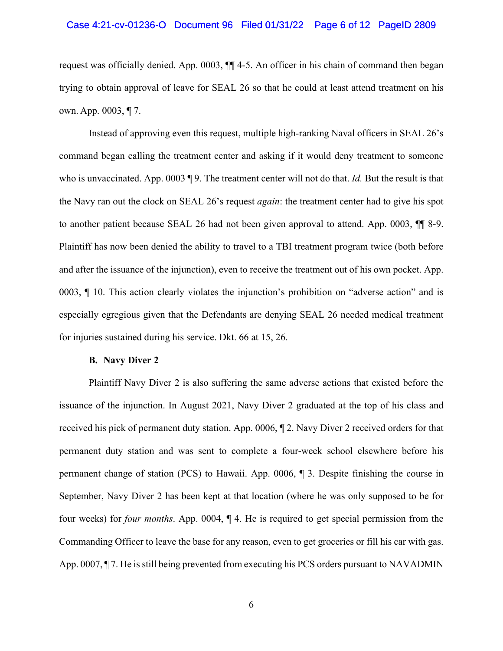### Case 4:21-cv-01236-O Document 96 Filed 01/31/22 Page 6 of 12 PageID 2809

request was officially denied. App. 0003, ¶¶ 4-5. An officer in his chain of command then began trying to obtain approval of leave for SEAL 26 so that he could at least attend treatment on his own. App. 0003, ¶ 7.

Instead of approving even this request, multiple high-ranking Naval officers in SEAL 26's command began calling the treatment center and asking if it would deny treatment to someone who is unvaccinated. App. 0003 ¶ 9. The treatment center will not do that. *Id.* But the result is that the Navy ran out the clock on SEAL 26's request *again*: the treatment center had to give his spot to another patient because SEAL 26 had not been given approval to attend. App. 0003, ¶¶ 8-9. Plaintiff has now been denied the ability to travel to a TBI treatment program twice (both before and after the issuance of the injunction), even to receive the treatment out of his own pocket. App. 0003, ¶ 10. This action clearly violates the injunction's prohibition on "adverse action" and is especially egregious given that the Defendants are denying SEAL 26 needed medical treatment for injuries sustained during his service. Dkt. 66 at 15, 26.

#### **B. Navy Diver 2**

Plaintiff Navy Diver 2 is also suffering the same adverse actions that existed before the issuance of the injunction. In August 2021, Navy Diver 2 graduated at the top of his class and received his pick of permanent duty station. App. 0006, ¶ 2. Navy Diver 2 received orders for that permanent duty station and was sent to complete a four-week school elsewhere before his permanent change of station (PCS) to Hawaii. App. 0006, ¶ 3. Despite finishing the course in September, Navy Diver 2 has been kept at that location (where he was only supposed to be for four weeks) for *four months*. App. 0004, ¶ 4. He is required to get special permission from the Commanding Officer to leave the base for any reason, even to get groceries or fill his car with gas. App. 0007, ¶ 7. He is still being prevented from executing his PCS orders pursuant to NAVADMIN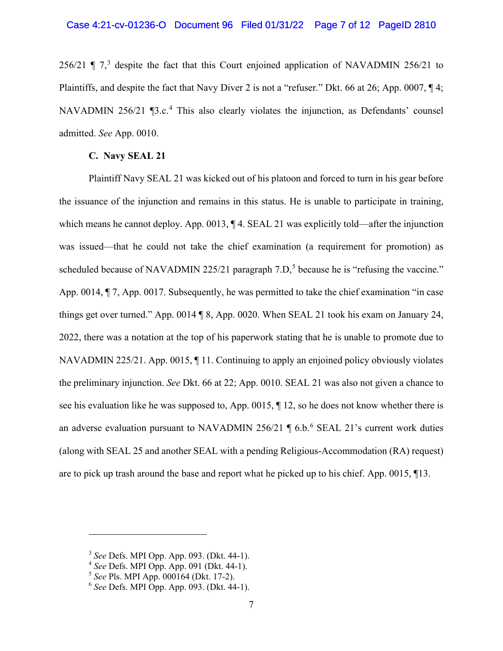## Case 4:21-cv-01236-O Document 96 Filed 01/31/22 Page 7 of 12 PageID 2810

256/21  $\P$  7,<sup>[3](#page-6-0)</sup> despite the fact that this Court enjoined application of NAVADMIN 256/21 to Plaintiffs, and despite the fact that Navy Diver 2 is not a "refuser." Dkt. 66 at 26; App. 0007, ¶ 4; NAVADMIN 256/21 [3.c.<sup>[4](#page-6-1)</sup> This also clearly violates the injunction, as Defendants' counsel admitted. *See* App. 0010.

# **C. Navy SEAL 21**

Plaintiff Navy SEAL 21 was kicked out of his platoon and forced to turn in his gear before the issuance of the injunction and remains in this status. He is unable to participate in training, which means he cannot deploy. App. 0013,  $\P$  4. SEAL 21 was explicitly told—after the injunction was issued—that he could not take the chief examination (a requirement for promotion) as scheduled because of NAVADMIN 22[5](#page-6-2)/21 paragraph  $7.D$ , because he is "refusing the vaccine." App. 0014, ¶ 7, App. 0017. Subsequently, he was permitted to take the chief examination "in case things get over turned." App. 0014 ¶ 8, App. 0020. When SEAL 21 took his exam on January 24, 2022, there was a notation at the top of his paperwork stating that he is unable to promote due to NAVADMIN 225/21. App. 0015, ¶ 11. Continuing to apply an enjoined policy obviously violates the preliminary injunction. *See* Dkt. 66 at 22; App. 0010. SEAL 21 was also not given a chance to see his evaluation like he was supposed to, App. 0015, ¶ 12, so he does not know whether there is an adverse evaluation pursuant to NAVADMIN 25[6](#page-6-3)/21  $\parallel$  6.b.<sup>6</sup> SEAL 21's current work duties (along with SEAL 25 and another SEAL with a pending Religious-Accommodation (RA) request) are to pick up trash around the base and report what he picked up to his chief. App. 0015, ¶13.

<span id="page-6-0"></span><sup>3</sup> *See* Defs. MPI Opp. App. 093. (Dkt. 44-1).

<span id="page-6-1"></span><sup>4</sup> *See* Defs. MPI Opp. App. 091 (Dkt. 44-1).

<span id="page-6-2"></span><sup>5</sup> *See* Pls. MPI App. 000164 (Dkt. 17-2).

<span id="page-6-3"></span><sup>6</sup> *See* Defs. MPI Opp. App. 093. (Dkt. 44-1).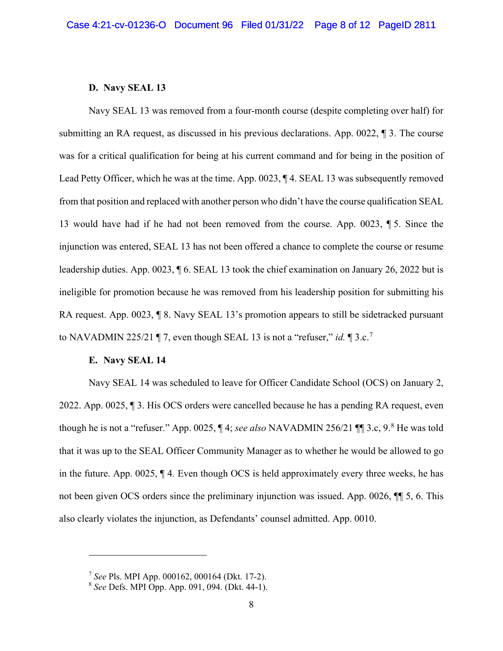### **D. Navy SEAL 13**

Navy SEAL 13 was removed from a four-month course (despite completing over half) for submitting an RA request, as discussed in his previous declarations. App. 0022, ¶ 3. The course was for a critical qualification for being at his current command and for being in the position of Lead Petty Officer, which he was at the time. App. 0023,  $\P$  4. SEAL 13 was subsequently removed from that position and replaced with another person who didn't have the course qualification SEAL 13 would have had if he had not been removed from the course. App. 0023, ¶ 5. Since the injunction was entered, SEAL 13 has not been offered a chance to complete the course or resume leadership duties. App. 0023, ¶ 6. SEAL 13 took the chief examination on January 26, 2022 but is ineligible for promotion because he was removed from his leadership position for submitting his RA request. App. 0023, ¶ 8. Navy SEAL 13's promotion appears to still be sidetracked pursuant to NAVADMIN 225/21 ¶ 7, even though SEAL 13 is not a "refuser," *id.* ¶ 3.c.[7](#page-7-0)

#### **E. Navy SEAL 14**

Navy SEAL 14 was scheduled to leave for Officer Candidate School (OCS) on January 2, 2022. App. 0025, ¶ 3. His OCS orders were cancelled because he has a pending RA request, even though he is not a "refuser." App. 0025, ¶ 4; *see also* NAVADMIN 256/21 ¶¶ 3.c, 9. [8](#page-7-1) He was told that it was up to the SEAL Officer Community Manager as to whether he would be allowed to go in the future. App. 0025, ¶ 4*.* Even though OCS is held approximately every three weeks, he has not been given OCS orders since the preliminary injunction was issued. App. 0026, ¶¶ 5, 6. This also clearly violates the injunction, as Defendants' counsel admitted. App. 0010.

<span id="page-7-0"></span><sup>7</sup> *See* Pls. MPI App. 000162, 000164 (Dkt. 17-2).

<span id="page-7-1"></span><sup>8</sup> *See* Defs. MPI Opp. App. 091, 094. (Dkt. 44-1).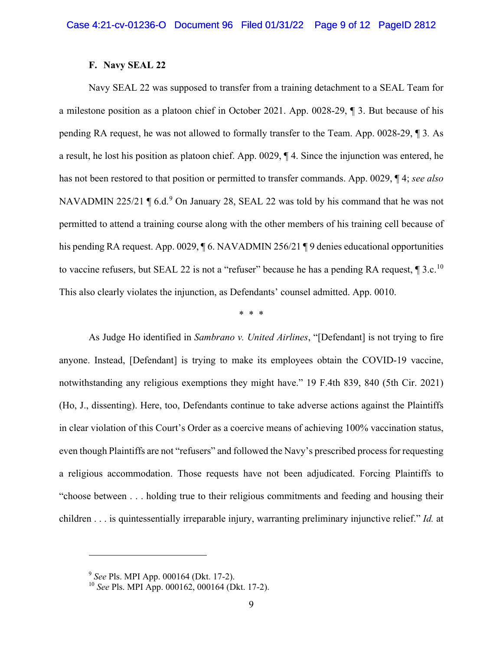### **F. Navy SEAL 22**

Navy SEAL 22 was supposed to transfer from a training detachment to a SEAL Team for a milestone position as a platoon chief in October 2021. App. 0028-29, ¶ 3. But because of his pending RA request, he was not allowed to formally transfer to the Team. App. 0028-29, ¶ 3*.* As a result, he lost his position as platoon chief. App. 0029, ¶ 4. Since the injunction was entered, he has not been restored to that position or permitted to transfer commands. App. 0029, ¶ 4; *see also*  NAVADMIN 225/21  $\P$  6.d.<sup>[9](#page-8-0)</sup> On January 28, SEAL 22 was told by his command that he was not permitted to attend a training course along with the other members of his training cell because of his pending RA request. App. 0029,  $\sqrt{6}$ . NAVADMIN 256/21  $\sqrt{9}$  denies educational opportunities to vaccine refusers, but SEAL 22 is not a "refuser" because he has a pending RA request,  $\P$  3.c.<sup>[10](#page-8-1)</sup> This also clearly violates the injunction, as Defendants' counsel admitted. App. 0010.

\* \* \*

As Judge Ho identified in *Sambrano v. United Airlines*, "[Defendant] is not trying to fire anyone. Instead, [Defendant] is trying to make its employees obtain the COVID-19 vaccine, notwithstanding any religious exemptions they might have." 19 F.4th 839, 840 (5th Cir. 2021) (Ho, J., dissenting). Here, too, Defendants continue to take adverse actions against the Plaintiffs in clear violation of this Court's Order as a coercive means of achieving 100% vaccination status, even though Plaintiffs are not "refusers" and followed the Navy's prescribed process for requesting a religious accommodation. Those requests have not been adjudicated. Forcing Plaintiffs to "choose between . . . holding true to their religious commitments and feeding and housing their children . . . is quintessentially irreparable injury, warranting preliminary injunctive relief." *Id.* at

<span id="page-8-0"></span><sup>9</sup> *See* Pls. MPI App. 000164 (Dkt. 17-2).

<span id="page-8-1"></span><sup>10</sup> *See* Pls. MPI App. 000162, 000164 (Dkt. 17-2).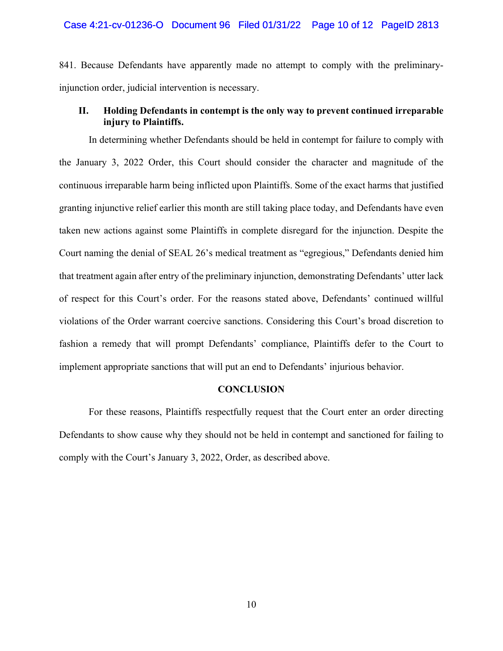841. Because Defendants have apparently made no attempt to comply with the preliminaryinjunction order, judicial intervention is necessary.

# **II. Holding Defendants in contempt is the only way to prevent continued irreparable injury to Plaintiffs.**

In determining whether Defendants should be held in contempt for failure to comply with the January 3, 2022 Order, this Court should consider the character and magnitude of the continuous irreparable harm being inflicted upon Plaintiffs. Some of the exact harms that justified granting injunctive relief earlier this month are still taking place today, and Defendants have even taken new actions against some Plaintiffs in complete disregard for the injunction. Despite the Court naming the denial of SEAL 26's medical treatment as "egregious," Defendants denied him that treatment again after entry of the preliminary injunction, demonstrating Defendants' utter lack of respect for this Court's order. For the reasons stated above, Defendants' continued willful violations of the Order warrant coercive sanctions. Considering this Court's broad discretion to fashion a remedy that will prompt Defendants' compliance, Plaintiffs defer to the Court to implement appropriate sanctions that will put an end to Defendants' injurious behavior.

### **CONCLUSION**

For these reasons, Plaintiffs respectfully request that the Court enter an order directing Defendants to show cause why they should not be held in contempt and sanctioned for failing to comply with the Court's January 3, 2022, Order, as described above.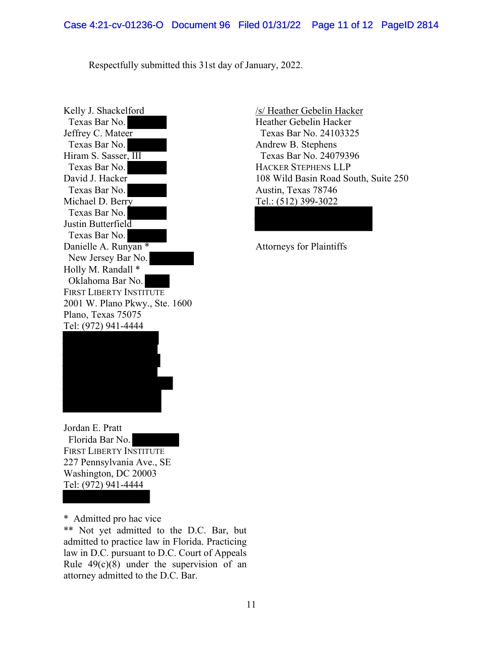Respectfully submitted this 31st day of January, 2022.

Kelly J. Shackelford Texas Bar No. Jeffrey C. Mateer Texas Bar No. Hiram S. Sasser, III Texas Bar No. David J. Hacker Texas Bar No. Michael D. Berry Texas Bar No. Justin Butterfield Texas Bar No. Danielle A. Runyan \* New Jersey Bar No. Holly M. Randall \* Oklahoma Bar No. FIRST LIBERTY INSTITUTE 2001 W. Plano Pkwy., Ste. 1600 Plano, Texas 75075 Tel: (972) 941-4444



Jordan E. Pratt Florida Bar No. FIRST LIBERTY INSTITUTE 227 Pennsylvania Ave., SE Washington, DC 20003 Tel: (972) 941-4444

\* Admitted pro hac vice

\*\* Not yet admitted to the D.C. Bar, but admitted to practice law in Florida. Practicing law in D.C. pursuant to D.C. Court of Appeals Rule  $49(c)(8)$  under the supervision of an attorney admitted to the D.C. Bar.

/s/ Heather Gebelin Hacker Heather Gebelin Hacker Texas Bar No. 24103325 Andrew B. Stephens Texas Bar No. 24079396 HACKER STEPHENS LLP 108 Wild Basin Road South, Suite 250 Austin, Texas 78746 Tel.: (512) 399-3022

Attorneys for Plaintiffs